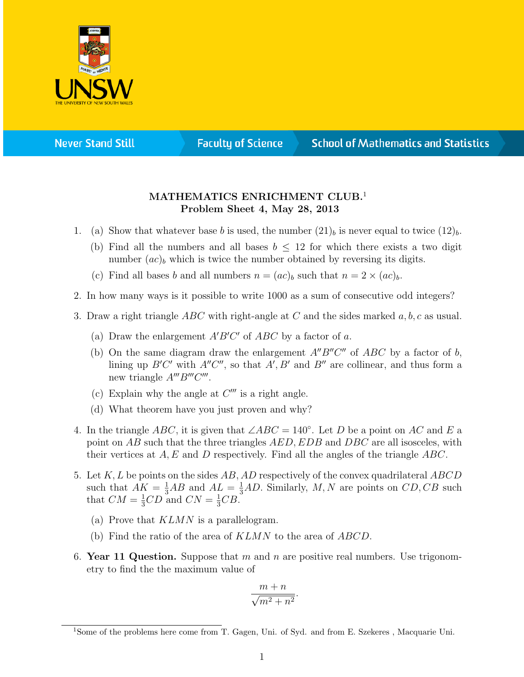

**Never Stand Still** 

**Faculty of Science** 

## **School of Mathematics and Statistics**

## MATHEMATICS ENRICHMENT CLUB.<sup>1</sup> Problem Sheet 4, May 28, 2013

- 1. (a) Show that whatever base b is used, the number  $(21)_b$  is never equal to twice  $(12)_b$ .
	- (b) Find all the numbers and all bases  $b \leq 12$  for which there exists a two digit number  $(ac)_b$  which is twice the number obtained by reversing its digits.
	- (c) Find all bases b and all numbers  $n = (ac)_b$  such that  $n = 2 \times (ac)_b$ .
- 2. In how many ways is it possible to write 1000 as a sum of consecutive odd integers?
- 3. Draw a right triangle ABC with right-angle at C and the sides marked  $a, b, c$  as usual.
	- (a) Draw the enlargement  $A'B'C'$  of  $ABC$  by a factor of a.
	- (b) On the same diagram draw the enlargement  $A''B''C''$  of  $ABC$  by a factor of b, lining up  $B'C'$  with  $A''C''$ , so that  $A', B'$  and  $B''$  are collinear, and thus form a new triangle  $A'''B'''C'''$ .
	- (c) Explain why the angle at  $C'''$  is a right angle.
	- (d) What theorem have you just proven and why?
- 4. In the triangle ABC, it is given that  $\angle ABC = 140^\circ$ . Let D be a point on AC and E a point on AB such that the three triangles AED, EDB and DBC are all isosceles, with their vertices at  $A, E$  and D respectively. Find all the angles of the triangle  $ABC$ .
- 5. Let  $K, L$  be points on the sides  $AB, AD$  respectively of the convex quadrilateral  $ABCD$ such that  $AK = \frac{1}{3}AB$  and  $AL = \frac{1}{3}AD$ . Similarly, M, N are points on  $CD, CB$  such that  $CM = \frac{1}{3}CD$  and  $CN = \frac{1}{3}CB$ .
	- (a) Prove that KLMN is a parallelogram.
	- (b) Find the ratio of the area of  $KLMN$  to the area of  $ABCD$ .
- 6. Year 11 Question. Suppose that m and n are positive real numbers. Use trigonometry to find the the maximum value of

$$
\frac{m+n}{\sqrt{m^2+n^2}}.
$$

<sup>1</sup>Some of the problems here come from T. Gagen, Uni. of Syd. and from E. Szekeres , Macquarie Uni.